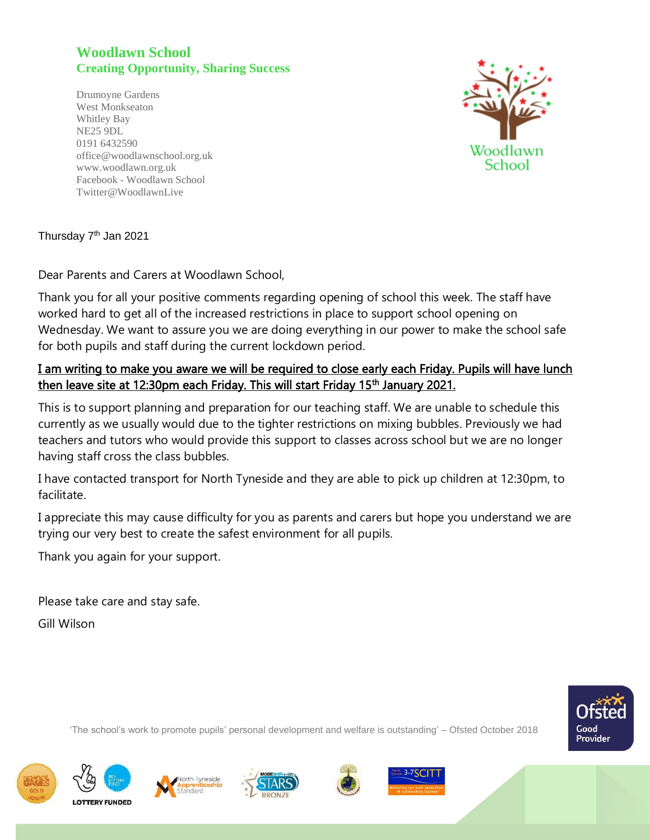## **Woodlawn School Creating Opportunity, Sharing Success**

Drumoyne Gardens West Monkseaton Whitley Bay NE25 9DL 0191 6432590 office@woodlawnschool.org.uk [www.woodlawn.](http://www.woodlawn/)org.uk Facebook - Woodlawn School Twitter@WoodlawnLive



Thursday 7<sup>th</sup> Jan 2021

Dear Parents and Carers at Woodlawn School,

Thank you for all your positive comments regarding opening of school this week. The staff have worked hard to get all of the increased restrictions in place to support school opening on Wednesday. We want to assure you we are doing everything in our power to make the school safe for both pupils and staff during the current lockdown period.

## I am writing to make you aware we will be required to close early each Friday. Pupils will have lunch then leave site at 12:30pm each Friday. This will start Friday 15<sup>th</sup> January 2021.

This is to support planning and preparation for our teaching staff. We are unable to schedule this currently as we usually would due to the tighter restrictions on mixing bubbles. Previously we had teachers and tutors who would provide this support to classes across school but we are no longer having staff cross the class bubbles.

I have contacted transport for North Tyneside and they are able to pick up children at 12:30pm, to facilitate.

I appreciate this may cause difficulty for you as parents and carers but hope you understand we are trying our very best to create the safest environment for all pupils.

Thank you again for your support.

Please take care and stay safe.

Gill Wilson



'The school's work to promote pupils' personal development and welfare is outstanding' – Ofsted October 2018